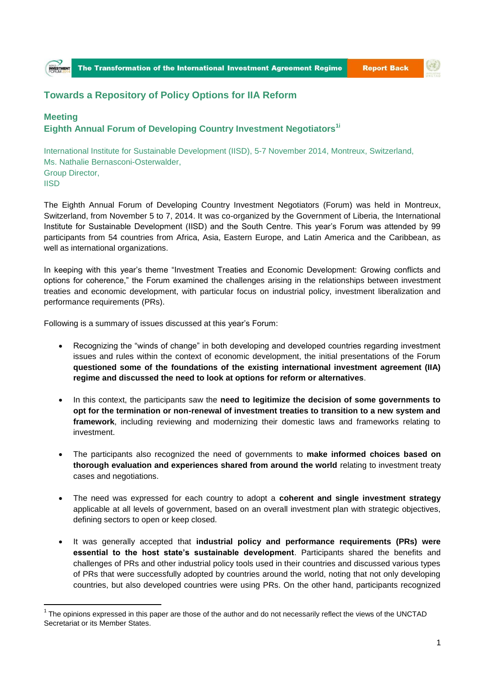

(金)

## **Towards a Repository of Policy Options for IIA Reform**

## **Meeting Eighth Annual Forum of Developing Country Investment Negotiators1i**

International Institute for Sustainable Development (IISD), 5-7 November 2014, Montreux, Switzerland, Ms. Nathalie Bernasconi-Osterwalder, Group Director, **IISD** 

The Eighth Annual Forum of Developing Country Investment Negotiators (Forum) was held in Montreux, Switzerland, from November 5 to 7, 2014. It was co-organized by the Government of Liberia, the International Institute for Sustainable Development (IISD) and the South Centre. This year's Forum was attended by 99 participants from 54 countries from Africa, Asia, Eastern Europe, and Latin America and the Caribbean, as well as international organizations.

In keeping with this year's theme "Investment Treaties and Economic Development: Growing conflicts and options for coherence," the Forum examined the challenges arising in the relationships between investment treaties and economic development, with particular focus on industrial policy, investment liberalization and performance requirements (PRs).

Following is a summary of issues discussed at this year's Forum:

1

**INVESTA** 

- Recognizing the "winds of change" in both developing and developed countries regarding investment issues and rules within the context of economic development, the initial presentations of the Forum **questioned some of the foundations of the existing international investment agreement (IIA) regime and discussed the need to look at options for reform or alternatives**.
- In this context, the participants saw the **need to legitimize the decision of some governments to opt for the termination or non-renewal of investment treaties to transition to a new system and framework**, including reviewing and modernizing their domestic laws and frameworks relating to investment.
- The participants also recognized the need of governments to **make informed choices based on thorough evaluation and experiences shared from around the world** relating to investment treaty cases and negotiations.
- The need was expressed for each country to adopt a **coherent and single investment strategy** applicable at all levels of government, based on an overall investment plan with strategic objectives, defining sectors to open or keep closed.
- It was generally accepted that **industrial policy and performance requirements (PRs) were essential to the host state's sustainable development**. Participants shared the benefits and challenges of PRs and other industrial policy tools used in their countries and discussed various types of PRs that were successfully adopted by countries around the world, noting that not only developing countries, but also developed countries were using PRs. On the other hand, participants recognized

 $1$  The opinions expressed in this paper are those of the author and do not necessarily reflect the views of the UNCTAD Secretariat or its Member States.